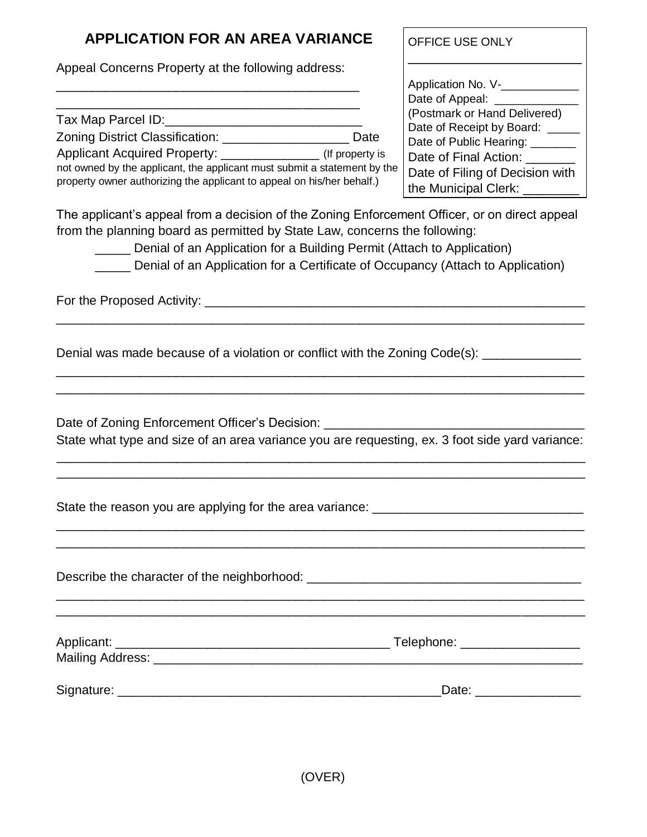## **APPLICATION FOR AN AREA VARIANCE**

Appeal Concerns Property at the following address: \_\_\_\_\_\_\_\_\_\_\_\_\_\_\_\_\_\_\_\_\_\_\_\_\_\_\_\_\_\_\_\_\_\_\_\_\_\_\_\_\_\_\_

\_\_\_\_\_\_\_\_\_\_\_\_\_\_\_\_\_\_\_\_\_\_\_\_\_\_\_\_\_\_\_\_\_\_\_\_\_\_\_\_\_\_\_ Tax Map Parcel ID:\_\_\_\_\_\_\_\_\_\_\_\_\_\_\_\_\_\_\_\_\_\_\_\_\_\_\_\_

Zoning District Classification: \_\_\_\_\_\_\_\_\_\_\_\_\_\_\_\_\_\_ Date

Applicant Acquired Property:  $($ If property is

not owned by the applicant, the applicant must submit a statement by the property owner authorizing the applicant to appeal on his/her behalf.)

OFFICE USE ONLY

Application No. V-\_\_\_\_\_\_\_\_\_\_\_\_\_ Date of Appeal: \_\_\_\_\_\_\_\_\_\_\_\_\_ (Postmark or Hand Delivered) Date of Receipt by Board: \_\_\_\_\_ Date of Public Hearing: \_\_\_\_\_\_\_ Date of Final Action: \_\_\_\_\_\_ Date of Filing of Decision with the Municipal Clerk: \_\_\_\_\_\_\_

The applicant's appeal from a decision of the Zoning Enforcement Officer, or on direct appeal from the planning board as permitted by State Law, concerns the following:

\_\_\_\_\_\_\_\_\_\_\_\_\_\_\_\_\_\_\_\_\_\_\_\_\_\_\_\_\_\_\_\_\_\_\_\_\_\_\_\_\_\_\_\_\_\_\_\_\_\_\_\_\_\_\_\_\_\_\_\_\_\_\_\_\_\_\_\_\_\_\_\_\_\_\_

\_\_\_\_\_\_\_\_\_\_\_\_\_\_\_\_\_\_\_\_\_\_\_\_\_\_\_\_\_\_\_\_\_\_\_\_\_\_\_\_\_\_\_\_\_\_\_\_\_\_\_\_\_\_\_\_\_\_\_\_\_\_\_\_\_\_\_\_\_\_\_\_\_\_\_ \_\_\_\_\_\_\_\_\_\_\_\_\_\_\_\_\_\_\_\_\_\_\_\_\_\_\_\_\_\_\_\_\_\_\_\_\_\_\_\_\_\_\_\_\_\_\_\_\_\_\_\_\_\_\_\_\_\_\_\_\_\_\_\_\_\_\_\_\_\_\_\_\_\_\_

\_\_\_\_\_ Denial of an Application for a Building Permit (Attach to Application)

\_\_\_\_\_ Denial of an Application for a Certificate of Occupancy (Attach to Application)

For the Proposed Activity: \_\_\_\_\_\_\_\_\_\_\_\_\_\_\_\_\_\_\_\_\_\_\_\_\_\_\_\_\_\_\_\_\_\_\_\_\_\_\_\_\_\_\_\_\_\_\_\_\_\_\_\_\_\_

Denial was made because of a violation or conflict with the Zoning Code(s):

Date of Zoning Enforcement Officer's Decision:

State what type and size of an area variance you are requesting, ex. 3 foot side yard variance: \_\_\_\_\_\_\_\_\_\_\_\_\_\_\_\_\_\_\_\_\_\_\_\_\_\_\_\_\_\_\_\_\_\_\_\_\_\_\_\_\_\_\_\_\_\_\_\_\_\_\_\_\_\_\_\_\_\_\_\_\_\_\_\_\_\_\_\_\_\_\_\_\_\_\_

\_\_\_\_\_\_\_\_\_\_\_\_\_\_\_\_\_\_\_\_\_\_\_\_\_\_\_\_\_\_\_\_\_\_\_\_\_\_\_\_\_\_\_\_\_\_\_\_\_\_\_\_\_\_\_\_\_\_\_\_\_\_\_\_\_\_\_\_\_\_\_\_\_\_\_

\_\_\_\_\_\_\_\_\_\_\_\_\_\_\_\_\_\_\_\_\_\_\_\_\_\_\_\_\_\_\_\_\_\_\_\_\_\_\_\_\_\_\_\_\_\_\_\_\_\_\_\_\_\_\_\_\_\_\_\_\_\_\_\_\_\_\_\_\_\_\_\_\_\_\_ \_\_\_\_\_\_\_\_\_\_\_\_\_\_\_\_\_\_\_\_\_\_\_\_\_\_\_\_\_\_\_\_\_\_\_\_\_\_\_\_\_\_\_\_\_\_\_\_\_\_\_\_\_\_\_\_\_\_\_\_\_\_\_\_\_\_\_\_\_\_\_\_\_\_\_

State the reason you are applying for the area variance:

Describe the character of the neighborhood:  $\Box$ \_\_\_\_\_\_\_\_\_\_\_\_\_\_\_\_\_\_\_\_\_\_\_\_\_\_\_\_\_\_\_\_\_\_\_\_\_\_\_\_\_\_\_\_\_\_\_\_\_\_\_\_\_\_\_\_\_\_\_\_\_\_\_\_\_\_\_\_\_\_\_\_\_\_\_

| Applicant:<br>Mailing Address: | Telephone: |
|--------------------------------|------------|
| Signature:                     | Date:      |

\_\_\_\_\_\_\_\_\_\_\_\_\_\_\_\_\_\_\_\_\_\_\_\_\_\_\_\_\_\_\_\_\_\_\_\_\_\_\_\_\_\_\_\_\_\_\_\_\_\_\_\_\_\_\_\_\_\_\_\_\_\_\_\_\_\_\_\_\_\_\_\_\_\_\_

(OVER)